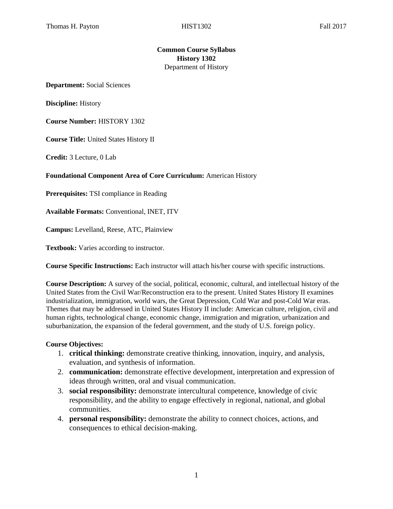## **Common Course Syllabus History 1302**  Department of History

**Department:** Social Sciences

**Discipline:** History

**Course Number:** HISTORY 1302

**Course Title:** United States History II

**Credit:** 3 Lecture, 0 Lab

#### **Foundational Component Area of Core Curriculum:** American History

**Prerequisites:** TSI compliance in Reading

**Available Formats:** Conventional, INET, ITV

**Campus:** Levelland, Reese, ATC, Plainview

**Textbook:** Varies according to instructor.

**Course Specific Instructions:** Each instructor will attach his/her course with specific instructions.

**Course Description:** A survey of the social, political, economic, cultural, and intellectual history of the United States from the Civil War/Reconstruction era to the present. United States History II examines industrialization, immigration, world wars, the Great Depression, Cold War and post-Cold War eras. Themes that may be addressed in United States History II include: American culture, religion, civil and human rights, technological change, economic change, immigration and migration, urbanization and suburbanization, the expansion of the federal government, and the study of U.S. foreign policy.

#### **Course Objectives:**

- 1. **critical thinking:** demonstrate creative thinking, innovation, inquiry, and analysis, evaluation, and synthesis of information.
- 2. **communication:** demonstrate effective development, interpretation and expression of ideas through written, oral and visual communication.
- 3. **social responsibility:** demonstrate intercultural competence, knowledge of civic responsibility, and the ability to engage effectively in regional, national, and global communities.
- 4. **personal responsibility:** demonstrate the ability to connect choices, actions, and consequences to ethical decision-making.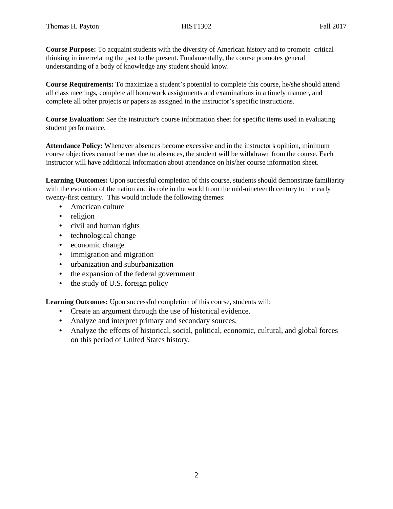**Course Purpose:** To acquaint students with the diversity of American history and to promote critical thinking in interrelating the past to the present. Fundamentally, the course promotes general understanding of a body of knowledge any student should know.

**Course Requirements:** To maximize a student's potential to complete this course, he/she should attend all class meetings, complete all homework assignments and examinations in a timely manner, and complete all other projects or papers as assigned in the instructor's specific instructions.

**Course Evaluation:** See the instructor's course information sheet for specific items used in evaluating student performance.

**Attendance Policy:** Whenever absences become excessive and in the instructor's opinion, minimum course objectives cannot be met due to absences, the student will be withdrawn from the course. Each instructor will have additional information about attendance on his/her course information sheet.

**Learning Outcomes:** Upon successful completion of this course, students should demonstrate familiarity with the evolution of the nation and its role in the world from the mid-nineteenth century to the early twenty-first century. This would include the following themes:

- American culture
- religion
- civil and human rights
- technological change
- economic change
- immigration and migration
- urbanization and suburbanization
- the expansion of the federal government
- the study of U.S. foreign policy

**Learning Outcomes:** Upon successful completion of this course, students will:

- Create an argument through the use of historical evidence.
- Analyze and interpret primary and secondary sources.
- Analyze the effects of historical, social, political, economic, cultural, and global forces on this period of United States history.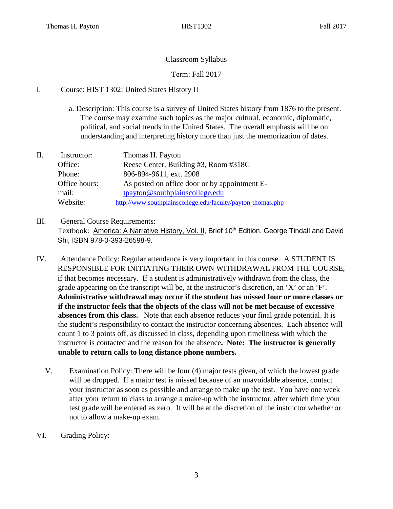# Classroom Syllabus

Term: Fall 2017

# I. Course: HIST 1302: United States History II

- a. Description: This course is a survey of United States history from 1876 to the present. The course may examine such topics as the major cultural, economic, diplomatic, political, and social trends in the United States. The overall emphasis will be on understanding and interpreting history more than just the memorization of dates.
- II. Instructor: Thomas H. Payton Office: Reese Center, Building #3, Room #318C Phone: 806-894-9611, ext. 2908 Office hours: As posted on office door or by appointment Email: tpayton@southplainscollege.edu Website: <http://www.southplainscollege.edu/faculty/payton-thomas.php>
- III. General Course Requirements: Textbook: America: A Narrative History, Vol. II, Brief 10<sup>th</sup> Edition. George Tindall and David Shi, ISBN 978-0-393-26598-9.
- IV. Attendance Policy: Regular attendance is very important in this course. A STUDENT IS RESPONSIBLE FOR INITIATING THEIR OWN WITHDRAWAL FROM THE COURSE, if that becomes necessary. If a student is administratively withdrawn from the class, the grade appearing on the transcript will be, at the instructor's discretion, an 'X' or an 'F'. **Administrative withdrawal may occur if the student has missed four or more classes or if the instructor feels that the objects of the class will not be met because of excessive absences from this class.** Note that each absence reduces your final grade potential. It is the student's responsibility to contact the instructor concerning absences. Each absence will count 1 to 3 points off, as discussed in class, depending upon timeliness with which the instructor is contacted and the reason for the absence**. Note: The instructor is generally unable to return calls to long distance phone numbers.** 
	- V. Examination Policy: There will be four (4) major tests given, of which the lowest grade will be dropped. If a major test is missed because of an unavoidable absence, contact your instructor as soon as possible and arrange to make up the test. You have one week after your return to class to arrange a make-up with the instructor, after which time your test grade will be entered as zero. It will be at the discretion of the instructor whether or not to allow a make-up exam.
- VI. Grading Policy: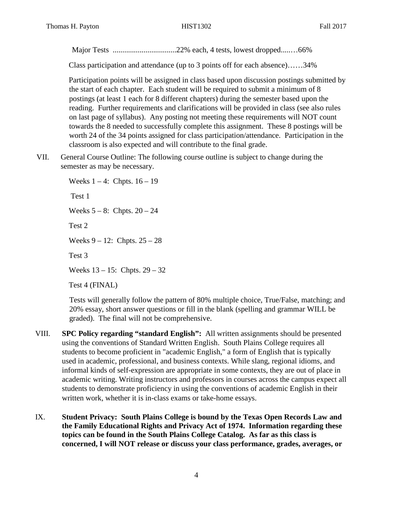Major Tests .................................22% each, 4 tests, lowest dropped.....…66%

Class participation and attendance (up to 3 points off for each absence)……34%

Participation points will be assigned in class based upon discussion postings submitted by the start of each chapter. Each student will be required to submit a minimum of 8 postings (at least 1 each for 8 different chapters) during the semester based upon the reading. Further requirements and clarifications will be provided in class (see also rules on last page of syllabus). Any posting not meeting these requirements will NOT count towards the 8 needed to successfully complete this assignment. These 8 postings will be worth 24 of the 34 points assigned for class participation/attendance. Participation in the classroom is also expected and will contribute to the final grade.

VII. General Course Outline: The following course outline is subject to change during the semester as may be necessary.

> Weeks  $1 - 4$ : Chpts.  $16 - 19$ Test 1 Weeks  $5 - 8$ : Chpts.  $20 - 24$ Test 2 Weeks 9 – 12: Chpts. 25 – 28 Test 3 Weeks 13 – 15: Chpts. 29 – 32 Test 4 (FINAL)

Tests will generally follow the pattern of 80% multiple choice, True/False, matching; and 20% essay, short answer questions or fill in the blank (spelling and grammar WILL be graded). The final will not be comprehensive.

- VIII. **SPC Policy regarding "standard English":** All written assignments should be presented using the conventions of Standard Written English. South Plains College requires all students to become proficient in "academic English," a form of English that is typically used in academic, professional, and business contexts. While slang, regional idioms, and informal kinds of self-expression are appropriate in some contexts, they are out of place in academic writing. Writing instructors and professors in courses across the campus expect all students to demonstrate proficiency in using the conventions of academic English in their written work, whether it is in-class exams or take-home essays.
- IX. **Student Privacy: South Plains College is bound by the Texas Open Records Law and the Family Educational Rights and Privacy Act of 1974. Information regarding these topics can be found in the South Plains College Catalog. As far as this class is concerned, I will NOT release or discuss your class performance, grades, averages, or**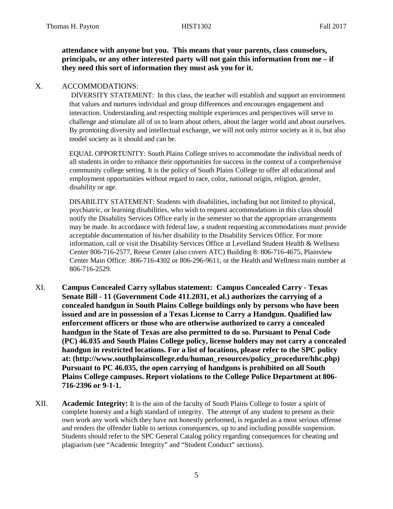**attendance with anyone but you. This means that your parents, class counselors, principals, or any other interested party will not gain this information from me – if they need this sort of information they must ask you for it.** 

## X. ACCOMMODATIONS:

DIVERSITY STATEMENT: In this class, the teacher will establish and support an environment that values and nurtures individual and group differences and encourages engagement and interaction. Understanding and respecting multiple experiences and perspectives will serve to challenge and stimulate all of us to learn about others, about the larger world and about ourselves. By promoting diversity and intellectual exchange, we will not only mirror society as it is, but also model society as it should and can be.

EQUAL OPPORTUNITY: South Plains College strives to accommodate the individual needs of all students in order to enhance their opportunities for success in the context of a comprehensive community college setting. It is the policy of South Plains College to offer all educational and employment opportunities without regard to race, color, national origin, religion, gender, disability or age.

DISABILITY STATEMENT: Students with disabilities, including but not limited to physical, psychiatric, or learning disabilities, who wish to request accommodations in this class should notify the Disability Services Office early in the semester so that the appropriate arrangements may be made. In accordance with federal law, a student requesting accommodations must provide acceptable documentation of his/her disability to the Disability Services Office. For more information, call or visit the Disability Services Office at Levelland Student Health & Wellness Center 806-716-2577, Reese Center (also covers ATC) Building 8: 806-716-4675, Plainview Center Main Office: 806-716-4302 or 806-296-9611, or the Health and Wellness main number at 806-716-2529.

- XI. **Campus Concealed Carry syllabus statement: Campus Concealed Carry - Texas Senate Bill - 11 (Government Code 411.2031, et al.) authorizes the carrying of a concealed handgun in South Plains College buildings only by persons who have been issued and are in possession of a Texas License to Carry a Handgun. Qualified law enforcement officers or those who are otherwise authorized to carry a concealed handgun in the State of Texas are also permitted to do so. Pursuant to Penal Code (PC) 46.035 and South Plains College policy, license holders may not carry a concealed handgun in restricted locations. For a list of locations, please refer to the SPC policy at: (http://www.southplainscollege.edu/human\_resources/policy\_procedure/hhc.php) Pursuant to PC 46.035, the open carrying of handguns is prohibited on all South Plains College campuses. Report violations to the College Police Department at 806- 716-2396 or 9-1-1.**
- XII. **Academic Integrity:** It is the aim of the faculty of South Plains College to foster a spirit of complete honesty and a high standard of integrity. The attempt of any student to present as their own work any work which they have not honestly performed, is regarded as a most serious offense and renders the offender liable to serious consequences, up to and including possible suspension. Students should refer to the SPC General Catalog policy regarding consequences for cheating and plagiarism (see "Academic Integrity" and "Student Conduct" sections).